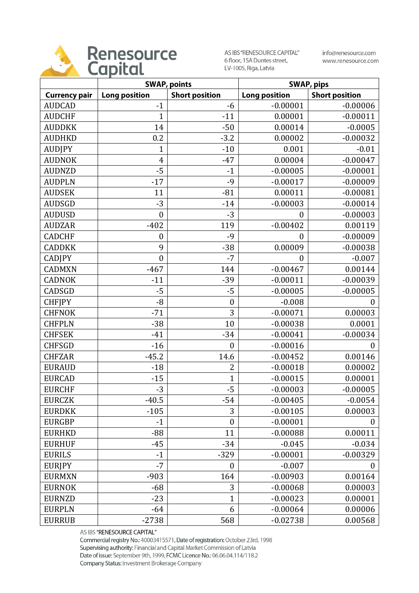

AS IBS "RENESOURCE CAPITAL" 6 floor, 15A Duntes street, LV-1005, Riga, Latvia

info@renesource.com www.renesource.com

|                      | <b>SWAP, points</b>  |                       | <b>SWAP, pips</b>    |                       |
|----------------------|----------------------|-----------------------|----------------------|-----------------------|
| <b>Currency pair</b> | <b>Long position</b> | <b>Short position</b> | <b>Long position</b> | <b>Short position</b> |
| <b>AUDCAD</b>        | $-1$                 | -6                    | $-0.00001$           | $-0.00006$            |
| <b>AUDCHF</b>        | $\overline{1}$       | $-11$                 | 0.00001              | $-0.00011$            |
| <b>AUDDKK</b>        | 14                   | $-50$                 | 0.00014              | $-0.0005$             |
| <b>AUDHKD</b>        | 0.2                  | $-3.2$                | 0.00002              | $-0.00032$            |
| <b>AUDJPY</b>        | $\mathbf 1$          | $-10$                 | 0.001                | $-0.01$               |
| <b>AUDNOK</b>        | $\overline{4}$       | $-47$                 | 0.00004              | $-0.00047$            |
| <b>AUDNZD</b>        | $-5$                 | $-1$                  | $-0.00005$           | $-0.00001$            |
| <b>AUDPLN</b>        | $-17$                | $-9$                  | $-0.00017$           | $-0.00009$            |
| <b>AUDSEK</b>        | 11                   | $-81$                 | 0.00011              | $-0.00081$            |
| <b>AUDSGD</b>        | $-3$                 | $-14$                 | $-0.00003$           | $-0.00014$            |
| <b>AUDUSD</b>        | $\mathbf{0}$         | $-3$                  | $\boldsymbol{0}$     | $-0.00003$            |
| <b>AUDZAR</b>        | $-402$               | 119                   | $-0.00402$           | 0.00119               |
| <b>CADCHF</b>        | $\boldsymbol{0}$     | $-9$                  | $\boldsymbol{0}$     | $-0.00009$            |
| <b>CADDKK</b>        | 9                    | $-38$                 | 0.00009              | $-0.00038$            |
| <b>CADJPY</b>        | $\boldsymbol{0}$     | $-7$                  | $\mathbf{0}$         | $-0.007$              |
| <b>CADMXN</b>        | $-467$               | 144                   | $-0.00467$           | 0.00144               |
| <b>CADNOK</b>        | $-11$                | $-39$                 | $-0.00011$           | $-0.00039$            |
| CADSGD               | $-5$                 | $-5$                  | $-0.00005$           | $-0.00005$            |
| <b>CHFIPY</b>        | $-8$                 | $\boldsymbol{0}$      | $-0.008$             | $\theta$              |
| <b>CHFNOK</b>        | $-71$                | 3                     | $-0.00071$           | 0.00003               |
| <b>CHFPLN</b>        | $-38$                | 10                    | $-0.00038$           | 0.0001                |
| <b>CHFSEK</b>        | $-41$                | $-34$                 | $-0.00041$           | $-0.00034$            |
| <b>CHFSGD</b>        | $-16$                | $\boldsymbol{0}$      | $-0.00016$           | 0                     |
| <b>CHFZAR</b>        | $-45.2$              | 14.6                  | $-0.00452$           | 0.00146               |
| <b>EURAUD</b>        | $-18$                | $\overline{2}$        | $-0.00018$           | 0.00002               |
| <b>EURCAD</b>        | $-15$                | $\overline{1}$        | $-0.00015$           | 0.00001               |
| <b>EURCHF</b>        | $-3$                 | $-5$                  | $-0.00003$           | $-0.00005$            |
| <b>EURCZK</b>        | $-40.5$              | $-54$                 | $-0.00405$           | $-0.0054$             |
| <b>EURDKK</b>        | $-105$               | 3                     | $-0.00105$           | 0.00003               |
| <b>EURGBP</b>        | $-1$                 | $\boldsymbol{0}$      | $-0.00001$           | 0                     |
| <b>EURHKD</b>        | $-88$                | 11                    | $-0.00088$           | 0.00011               |
| <b>EURHUF</b>        | $-45$                | $-34$                 | $-0.045$             | $-0.034$              |
| <b>EURILS</b>        | $-1$                 | $-329$                | $-0.00001$           | $-0.00329$            |
| <b>EURIPY</b>        | $-7$                 | $\boldsymbol{0}$      | $-0.007$             | 0                     |
| <b>EURMXN</b>        | $-903$               | 164                   | $-0.00903$           | 0.00164               |
| <b>EURNOK</b>        | $-68$                | 3                     | $-0.00068$           | 0.00003               |
| <b>EURNZD</b>        | $-23$                | $\overline{1}$        | $-0.00023$           | 0.00001               |
| <b>EURPLN</b>        | $-64$                | 6                     | $-0.00064$           | 0.00006               |
| <b>EURRUB</b>        | $-2738$              | 568                   | $-0.02738$           | 0.00568               |

AS IBS "RENESOURCE CAPITAL"

Commercial registry No.: 40003415571, Date of registration: October 23rd, 1998 Supervising authority: Financial and Capital Market Commission of Latvia Date of issue: September 9th, 1999, FCMC Licence No.: 06.06.04.114/118.2 Company Status: Investment Brokerage Company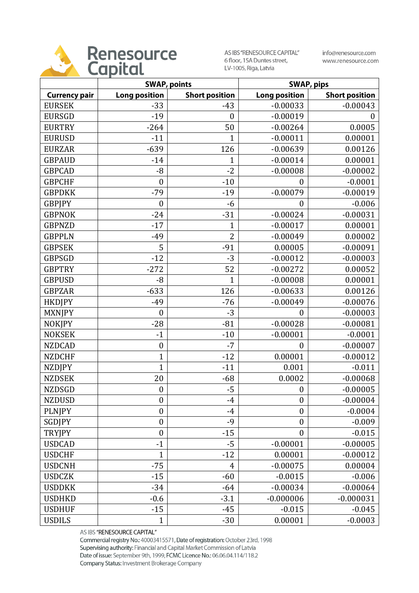

AS IBS "RENESOURCE CAPITAL" 6 floor, 15A Duntes street, LV-1005, Riga, Latvia

info@renesource.com www.renesource.com

|                      | <b>SWAP, points</b>  |                       |                      | <b>SWAP, pips</b>     |
|----------------------|----------------------|-----------------------|----------------------|-----------------------|
| <b>Currency pair</b> | <b>Long position</b> | <b>Short position</b> | <b>Long position</b> | <b>Short position</b> |
| <b>EURSEK</b>        | $-33$                | $-43$                 | $-0.00033$           | $-0.00043$            |
| <b>EURSGD</b>        | $-19$                | $\boldsymbol{0}$      | $-0.00019$           | 0                     |
| <b>EURTRY</b>        | $-264$               | 50                    | $-0.00264$           | 0.0005                |
| <b>EURUSD</b>        | $-11$                | $\mathbf{1}$          | $-0.00011$           | 0.00001               |
| <b>EURZAR</b>        | $-639$               | 126                   | $-0.00639$           | 0.00126               |
| <b>GBPAUD</b>        | $-14$                | $\mathbf 1$           | $-0.00014$           | 0.00001               |
| <b>GBPCAD</b>        | $-8$                 | $-2$                  | $-0.00008$           | $-0.00002$            |
| <b>GBPCHF</b>        | $\boldsymbol{0}$     | $-10$                 | $\overline{0}$       | $-0.0001$             |
| <b>GBPDKK</b>        | $-79$                | $-19$                 | $-0.00079$           | $-0.00019$            |
| <b>GBPJPY</b>        | $\boldsymbol{0}$     | $-6$                  | $\boldsymbol{0}$     | $-0.006$              |
| <b>GBPNOK</b>        | $-24$                | $-31$                 | $-0.00024$           | $-0.00031$            |
| <b>GBPNZD</b>        | $-17$                | $\mathbf{1}$          | $-0.00017$           | 0.00001               |
| <b>GBPPLN</b>        | $-49$                | $\overline{2}$        | $-0.00049$           | 0.00002               |
| <b>GBPSEK</b>        | 5                    | $-91$                 | 0.00005              | $-0.00091$            |
| <b>GBPSGD</b>        | $-12$                | $-3$                  | $-0.00012$           | $-0.00003$            |
| <b>GBPTRY</b>        | $-272$               | 52                    | $-0.00272$           | 0.00052               |
| <b>GBPUSD</b>        | $-8$                 | $\mathbf{1}$          | $-0.00008$           | 0.00001               |
| <b>GBPZAR</b>        | $-633$               | 126                   | $-0.00633$           | 0.00126               |
| <b>HKDJPY</b>        | $-49$                | $-76$                 | $-0.00049$           | $-0.00076$            |
| <b>MXNJPY</b>        | $\boldsymbol{0}$     | $-3$                  | $\boldsymbol{0}$     | $-0.00003$            |
| <b>NOKJPY</b>        | $-28$                | $-81$                 | $-0.00028$           | $-0.00081$            |
| <b>NOKSEK</b>        | $-1$                 | $-10$                 | $-0.00001$           | $-0.0001$             |
| <b>NZDCAD</b>        | $\boldsymbol{0}$     | $-7$                  | $\boldsymbol{0}$     | $-0.00007$            |
| <b>NZDCHF</b>        | $\mathbf{1}$         | $-12$                 | 0.00001              | $-0.00012$            |
| <b>NZDJPY</b>        | $\mathbf{1}$         | $-11$                 | 0.001                | $-0.011$              |
| <b>NZDSEK</b>        | 20                   | $-68$                 | 0.0002               | $-0.00068$            |
| <b>NZDSGD</b>        | $\boldsymbol{0}$     | $-5$                  | $\boldsymbol{0}$     | $-0.00005$            |
| <b>NZDUSD</b>        | $\boldsymbol{0}$     | $-4$                  | $\boldsymbol{0}$     | $-0.00004$            |
| <b>PLNJPY</b>        | $\boldsymbol{0}$     | $-4$                  | $\boldsymbol{0}$     | $-0.0004$             |
| SGDJPY               | $\boldsymbol{0}$     | $-9$                  | $\boldsymbol{0}$     | $-0.009$              |
| <b>TRYJPY</b>        | $\boldsymbol{0}$     | $-15$                 | $\boldsymbol{0}$     | $-0.015$              |
| <b>USDCAD</b>        | $-1$                 | $-5$                  | $-0.00001$           | $-0.00005$            |
| <b>USDCHF</b>        | $\mathbf{1}$         | $-12$                 | 0.00001              | $-0.00012$            |
| <b>USDCNH</b>        | $-75$                | $\overline{4}$        | $-0.00075$           | 0.00004               |
| <b>USDCZK</b>        | $-15$                | $-60$                 | $-0.0015$            | $-0.006$              |
| <b>USDDKK</b>        | $-34$                | $-64$                 | $-0.00034$           | $-0.00064$            |
| <b>USDHKD</b>        | $-0.6$               | $-3.1$                | $-0.000006$          | $-0.000031$           |
| <b>USDHUF</b>        | $-15$                | $-45$                 | $-0.015$             | $-0.045$              |
| <b>USDILS</b>        | $\mathbf{1}$         | $-30$                 | 0.00001              | $-0.0003$             |

AS IBS "RENESOURCE CAPITAL"

Commercial registry No.: 40003415571, Date of registration: October 23rd, 1998 Supervising authority: Financial and Capital Market Commission of Latvia Date of issue: September 9th, 1999, FCMC Licence No.: 06.06.04.114/118.2 Company Status: Investment Brokerage Company